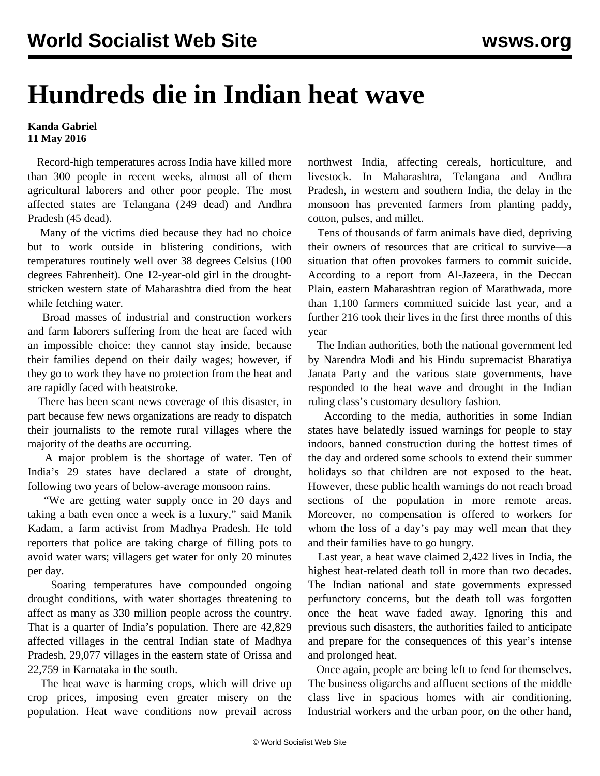## **Hundreds die in Indian heat wave**

## **Kanda Gabriel 11 May 2016**

 Record-high temperatures across India have killed more than 300 people in recent weeks, almost all of them agricultural laborers and other poor people. The most affected states are Telangana (249 dead) and Andhra Pradesh (45 dead).

 Many of the victims died because they had no choice but to work outside in blistering conditions, with temperatures routinely well over 38 degrees Celsius (100 degrees Fahrenheit). One 12-year-old girl in the droughtstricken western state of Maharashtra died from the heat while fetching water.

 Broad masses of industrial and construction workers and farm laborers suffering from the heat are faced with an impossible choice: they cannot stay inside, because their families depend on their daily wages; however, if they go to work they have no protection from the heat and are rapidly faced with heatstroke.

 There has been scant news coverage of this disaster, in part because few news organizations are ready to dispatch their journalists to the remote rural villages where the majority of the deaths are occurring.

 A major problem is the shortage of water. Ten of India's 29 states have declared a state of drought, following two years of below-average monsoon rains.

 "We are getting water supply once in 20 days and taking a bath even once a week is a luxury," said Manik Kadam, a farm activist from Madhya Pradesh. He told reporters that police are taking charge of filling pots to avoid water wars; villagers get water for only 20 minutes per day.

 Soaring temperatures have compounded ongoing drought conditions, with water shortages threatening to affect as many as 330 million people across the country. That is a quarter of India's population. There are 42,829 affected villages in the central Indian state of Madhya Pradesh, 29,077 villages in the eastern state of Orissa and 22,759 in Karnataka in the south.

 The heat wave is harming crops, which will drive up crop prices, imposing even greater misery on the population. Heat wave conditions now prevail across

northwest India, affecting cereals, horticulture, and livestock. In Maharashtra, Telangana and Andhra Pradesh, in western and southern India, the delay in the monsoon has prevented farmers from planting paddy, cotton, pulses, and millet.

 Tens of thousands of farm animals have died, depriving their owners of resources that are critical to survive—a situation that often provokes farmers to commit suicide. According to a report from Al-Jazeera, in the Deccan Plain, eastern Maharashtran region of Marathwada, more than 1,100 farmers committed suicide last year, and a further 216 took their lives in the first three months of this year

 The Indian authorities, both the national government led by Narendra Modi and his Hindu supremacist Bharatiya Janata Party and the various state governments, have responded to the heat wave and drought in the Indian ruling class's customary desultory fashion.

 According to the media, authorities in some Indian states have belatedly issued warnings for people to stay indoors, banned construction during the hottest times of the day and ordered some schools to extend their summer holidays so that children are not exposed to the heat. However, these public health warnings do not reach broad sections of the population in more remote areas. Moreover, no compensation is offered to workers for whom the loss of a day's pay may well mean that they and their families have to go hungry.

 Last year, a heat wave claimed 2,422 lives in India, the highest heat-related death toll in more than two decades. The Indian national and state governments expressed perfunctory concerns, but the death toll was forgotten once the heat wave faded away. Ignoring this and previous such disasters, the authorities failed to anticipate and prepare for the consequences of this year's intense and prolonged heat.

 Once again, people are being left to fend for themselves. The business oligarchs and affluent sections of the middle class live in spacious homes with air conditioning. Industrial workers and the urban poor, on the other hand,